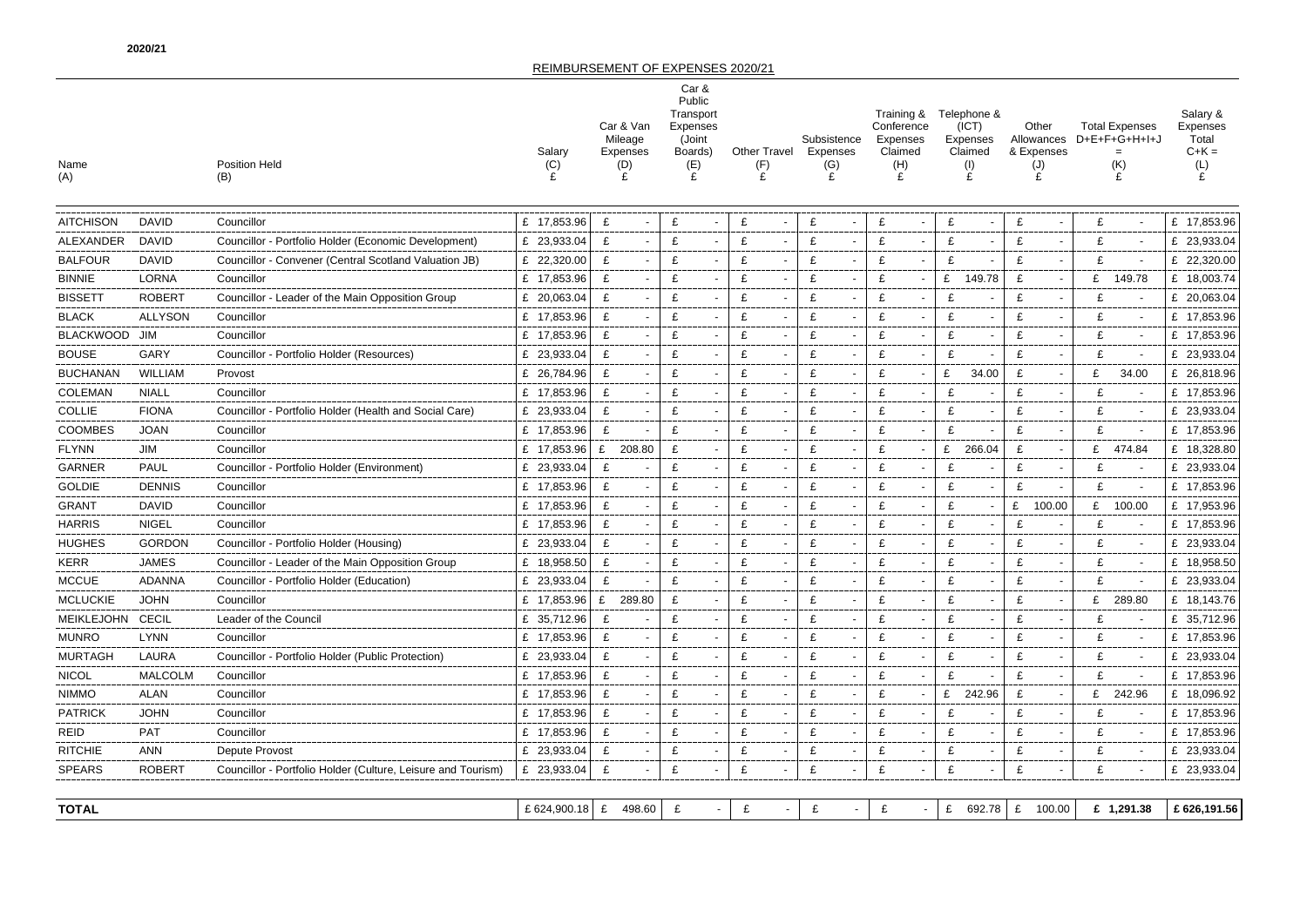#### REIMBURSEMENT OF EXPENSES 2020/21 Name (A) Position Held (B) Salary (C)  $\mathbf{E}$ Car & Van Mileage Expenses  $(D)$  $E$ Car & Public **Transport** Expenses (Joint Boards) (E)  $\mathbf{E}^{\prime}$ Other Travel (F)  $\mathbf{E}^{\prime}$ **Subsistence** Expenses  $\left( G\right)$  $\mathbf{E}$ Training & Telephone & **Conference** Expenses Claimed (H)  $E$  $(ICT)$ Expense Claimed (I) £ AITCHISON DAVID Councillor £ 17,853.96 £ - £ - £ - £ - £ - £ - £ - £ - £ 17,853.96 ALEXANDER DAVID Councillor - Portfolio Holder (Economic Development)  $\begin{array}{ccc} \begin{array}{ccc} \end{array} E & 23,933.04 \end{array}$  $\begin{array}{ccc} \end{array} E & - \begin{array}{ccc} \end{array} E & - \begin{array}{ccc} \end{array} E & - \begin{array}{ccc} \end{array} E & - \begin{array}{ccc} \end{array} E & - \end{array}$ BALFOUR DAVID Councillor - Convener (Central Scotland Valuation JB)  $\left| \begin{array}{ccc} \text{E} & 22,320.00 & \text{E} \\ \text{E} & - \end{array} \right| \left. \begin{array}{ccc} \text{E} & - \end{array} \right| \left. \begin{array}{ccc} \text{E} & - \end{array} \right| \left. \begin{array}{ccc} \text{E} & - \end{array} \right| \left. \begin{array}{ccc} \text{E} & - \end{array} \right| \left. \$ BINNIE LORNA Councillor £ 17,853.96 £ - £ - £ - £ - £ - £ 149.78 £ - £ 149.78 £ 18,003.74 BISSETT ROBERT Councillor - Leader of the Main Opposition Group  $\left| \begin{array}{ccc} E & 20,063.04 & E & -E & -E \\ E & 20,063.04 & E & -E & -E \\ \end{array} \right|$ BLACK ALLYSON Councillor £ 17,853.96 £ - £ - £ - £ - £ - £ - £ - £ - £ 17,853.96 BLACKWOOD JIM Councillor £ 17,853.96 £ - £ - £ - £ - £ - £ - £ - £ - £ 17,853.96 BOUSE GARY Councillor - Portfolio Holder (Resources)  $\begin{array}{ccc} \begin{array}{ccc} \text{E} & 23,933.04 & \text{E} & - & \text{E} & - & \text{E} & - & \text{E} & - & \text{E} \end{array} \end{array}$ BUCHANAN WILLIAM Provost £ £ £ £ £ 34.00 | £ | £ 34.00 | £ 26,818.96  $\textsf{COLEMAN}$  NIALL Councillor  $\textsf{E}$  17,853.96  $\textsf{E}$  -  $\textsf{E}$  -  $\textsf{E}$  -  $\textsf{E}$  -  $\textsf{E}$  -  $\textsf{E}$  -  $\textsf{E}$  -  $\textsf{E}$  -  $\textsf{E}$  -  $\textsf{E}$ COLLIE FIONA Councillor - Portfolio Holder (Health and Social Care)  $\left| \begin{array}{ccc} E & 23,933.04 & E & - \end{array} \right|$   $E$   $\left| \begin{array}{ccc} E & - \end{array} \right|$   $E$   $\left| \begin{array}{ccc} E & - \end{array} \right|$   $E$   $\left| \begin{array}{ccc} E & - \end{array} \right|$ COOMBES JOAN Councillor £ 17,853.96 £ - £ - £ - £ - £ - £ - £ - £ - £ 17,853.96 FLYNN JIM Councillor £ 17,853.96 £ 208.80 £ - £ - £ - £ - £ 266.04 £ - £ 474.84 £ 18,328.80 GARNER PAUL Councillor - Portfolio Holder (Environment)  $\begin{array}{ccc} \begin{array}{ccc} \text{E} & 23,933.04 & \text{E} & - & \text{E} & - & \text{E} & - & \text{E} & - & \text{E} \end{array} \end{array}$ GOLDIE DENNIS Councillor  $E$  17,853.96  $E$  -  $E$  -  $E$  -  $E$  -  $E$  -  $E$  -  $E$  -  $E$  -  $E$  -  $E$  -  $E$  -  $E$ GRANT DAVID Councillor £ 17,853.96 £ - £ - £ - £ - £ - £ - £ 100.00 £ 100.00 £ 17,953.96 <code>HARRIS NIGEL Councillor terrority</code>  $E$  17,853.96  $E$  -  $E$  -  $E$  -  $E$  -  $E$  -  $E$  -  $E$  -  $E$  -  $E$  -  $E$ HUGHES GORDON Councillor - Portfolio Holder (Housing)  $\left| \begin{array}{ccc} \text{E} & 23,933.04 & \text{E} & - \text{E} & - \text{E} & - \text{E} & - \text{E} & - \text{E} \end{array} \right|$ KERR JAMES Councillor - Leader of the Main Opposition Group £ 18,958.50 £ - £ - £ - £ - £ - £ - £ - £ - £ 18,958.50 MCCUE ADANNA Councillor - Portfolio Holder (Education)  $\left| \begin{array}{ccc} E & 23,933.04 & E & -E & -E & -E \\ E & 23,933.04 & E & -E & -E \end{array} \right|$ MCLUCKIE JOHN Councillor £ 17,853.96 £ 289.80 £ - £ - £ - £ - £ - £ - £ 289.80 £ 18,143.76 MEIKLEJOHN CECIL Leader of the Council  $\qquad \qquad$   $\qquad$   $\qquad$   $\qquad$   $\qquad$   $\qquad$   $\qquad$   $\qquad$   $\qquad$   $\qquad$   $\qquad$   $\qquad$   $\qquad$   $\qquad$   $\qquad$   $\qquad$   $\qquad$   $\qquad$   $\qquad$   $\qquad$   $\qquad$   $\qquad$   $\qquad$   $\qquad$   $\qquad$   $\qquad$   $\qquad$   $\qquad$   $\qquad$   $\qquad$ MUNRO LYNN Councillor £ 17,853.96 £ - £ - £ - £ - £ - £ - £ - £ - £ 17,853.96 MURTAGH LAURA Councillor - Portfolio Holder (Public Protection)  $\left| \begin{array}{ccc} \text{E} & 23,933.04 \end{array} \right| \quad \text{E} \quad - \left| \begin{array}{ccc} \text{E} & - \end{array} \right| \quad \text{E} \quad - \left| \begin{array}{ccc} \text{E} & - \end{array} \right| \quad \text{E} \quad - \left| \begin{array}{ccc} \text{E} & - \end{array} \right|$ NICOL MALCOLM Councillor £ 17,853.96 £ - £ - £ - £ - £ - £ - £ - £ - £ 17,853.96 NIMMO ALAN Councillor £ 17,853.96 £ - £ - £ - £ - £ - £ 242.96 £ - £ 242.96 £ 18,096.92 PATRICK JOHN Councillor £ 17,853.96 £ - £ - £ - £ - £ - £ - £ - £ - £ 17,853.96 REID PAT Councillor £ 17,853.96 £ - £ - £ - £ - £ - £ - £ - £ - £ 17,853.96 RITCHIE ANN Depute Provost £ 23,933.04 £ - £ - £ - £ - £ - £ - £ - £ - £ 23,933.04 SPEARS ROBERT Councillor - Portfolio Holder (Culture, Leisure and Tourism)  $\begin{array}{ccc|ccc} \text{£} & 23,933.04 & \text{£} & - & \text{£} & - & \text{£} & - & \text{£} & - & \text{£} \end{array}$ **TOTAL E** 692. **E** 692. **E** 624,900.18 **E** 498.60 **E** - **E** - **E** - **E** - **E** 692.

| .78        | £      | 100.00                 | £                                      | 1,291.38 |        | £626,191.56                          |  |  |
|------------|--------|------------------------|----------------------------------------|----------|--------|--------------------------------------|--|--|
|            |        |                        |                                        |          |        |                                      |  |  |
|            | £      |                        | £                                      |          | £      | 23,933.04                            |  |  |
|            | £      |                        | £                                      |          | £      | 23,933.04                            |  |  |
|            | £      |                        | £                                      |          | £      | 17,853.96                            |  |  |
|            | £      | -                      | £                                      |          | £      | 17,853.96                            |  |  |
| 96         | £      |                        | £                                      | 242.96   | £      | 18,096.92                            |  |  |
|            | £      |                        | £                                      |          | £      | 17,853.96                            |  |  |
|            | £      |                        | £                                      |          | £      | 23,933.04                            |  |  |
|            | £      |                        | £                                      |          | £      | 17,853.96                            |  |  |
|            | £      |                        | £                                      |          | £      | 35,712.96                            |  |  |
|            | £      |                        | £                                      | 289.80   | £      | 18,143.76                            |  |  |
|            | £      |                        | £                                      |          | £      | 23,933.04                            |  |  |
|            | £      |                        | £                                      |          | £      | 18,958.50                            |  |  |
|            | £      |                        | £                                      |          | £      | 23,933.04                            |  |  |
|            | £      |                        | £                                      |          | £      | 17,853.96                            |  |  |
|            | £      | 100.00                 | £                                      | 100.00   | £      | 17,953.96                            |  |  |
|            | £      |                        | £                                      |          | £      | 23,933.04<br>17,853.96               |  |  |
| 04         | £<br>£ |                        | £                                      | 474.84   | £<br>£ | 18,328.80                            |  |  |
|            | £      |                        | £<br>£                                 |          | £      | 17,853.96                            |  |  |
|            | £      |                        | £                                      |          | £      | 23,933.04                            |  |  |
|            | £      |                        | £                                      |          | £      | 17,853.96                            |  |  |
| 00         | £      | Ē,                     | £                                      | 34.00    | £      | 26,818.96                            |  |  |
|            | £      |                        | £                                      |          | £      | 23,933.04                            |  |  |
|            | £      |                        | £                                      |          | £      | 17,853.96                            |  |  |
|            | £      |                        | £                                      |          | £      | 17,853.96                            |  |  |
|            | £      |                        | £                                      |          | £      | 20,063.04                            |  |  |
| 78         | £      |                        | £                                      | 149.78   | £      | 18,003.74                            |  |  |
|            | £      |                        | £                                      |          | £      | 22,320.00                            |  |  |
|            | £      |                        | £                                      |          | £      | 23,933.04                            |  |  |
|            | £      |                        | £                                      |          | £      | 17,853.96                            |  |  |
|            |        |                        |                                        |          |        |                                      |  |  |
| ł          |        | & Expenses<br>(J)<br>£ | (K)<br>£                               |          |        | $C+K =$<br>(L)<br>£                  |  |  |
| ಕಿ &<br>:S |        | Other<br>Allowances    | <b>Total Expenses</b><br>D+E+F+G+H+I+J |          |        | Salary &<br><b>Expenses</b><br>Total |  |  |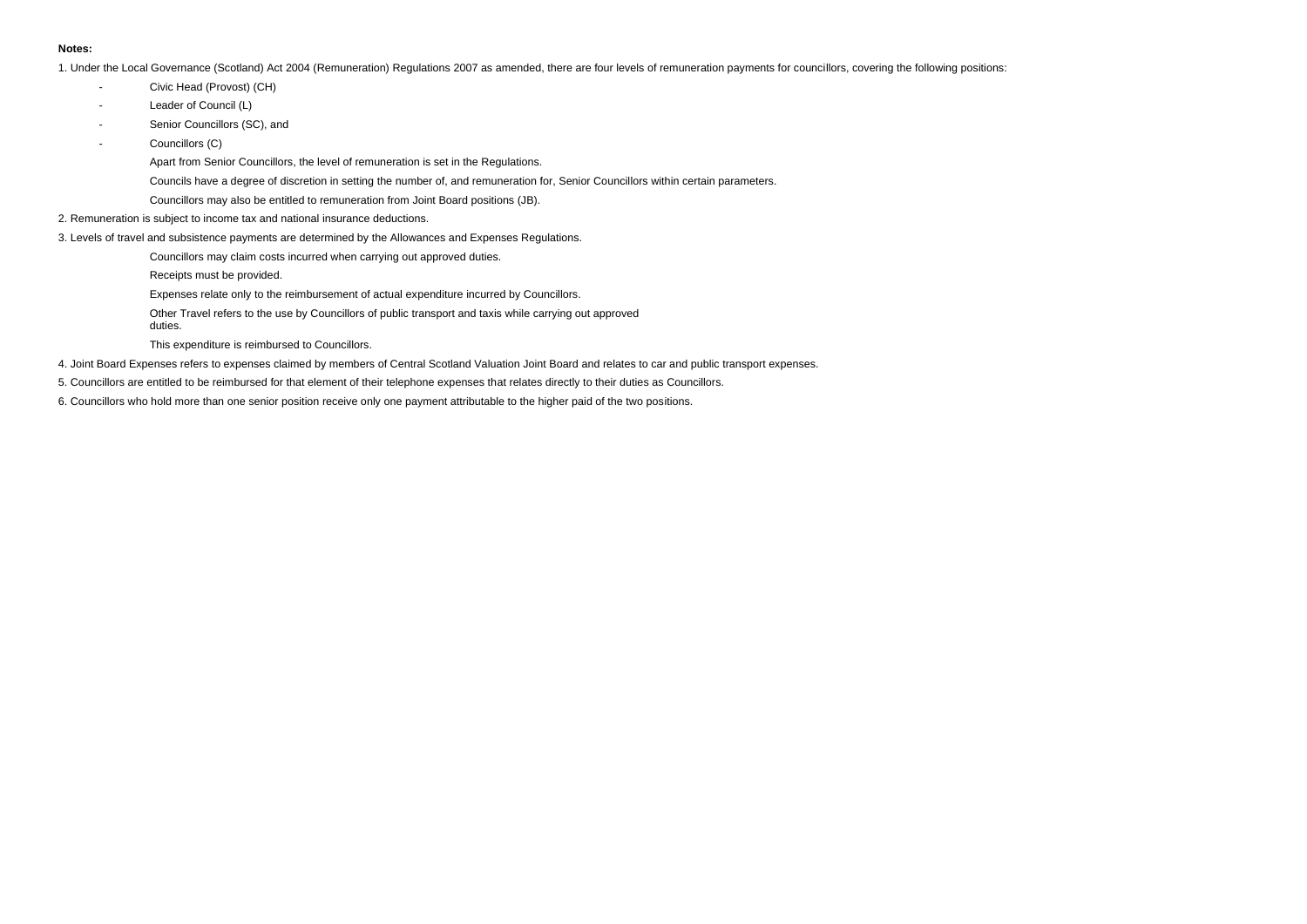### **Notes:**

1. Under the Local Governance (Scotland) Act 2004 (Remuneration) Regulations 2007 as amended, there are four levels of remuneration payments for councillors, covering the following positions:

- Civic Head (Provost) (CH)
- Leader of Council (L)
- Senior Councillors (SC), and
- Councillors (C)
	- Apart from Senior Councillors, the level of remuneration is set in the Regulations.
	- Councils have a degree of discretion in setting the number of, and remuneration for, Senior Councillors within certain parameters.
	- Councillors may also be entitled to remuneration from Joint Board positions (JB).
- 2. Remuneration is subject to income tax and national insurance deductions.
- 3. Levels of travel and subsistence payments are determined by the Allowances and Expenses Regulations.
	- Councillors may claim costs incurred when carrying out approved duties.
	- Receipts must be provided.
	- Expenses relate only to the reimbursement of actual expenditure incurred by Councillors.
	- Other Travel refers to the use by Councillors of public transport and taxis while carrying out approved
	- duties.
	- This expenditure is reimbursed to Councillors.
- 4. Joint Board Expenses refers to expenses claimed by members of Central Scotland Valuation Joint Board and relates to car and public transport expenses.
- 5. Councillors are entitled to be reimbursed for that element of their telephone expenses that relates directly to their duties as Councillors.
- 6. Councillors who hold more than one senior position receive only one payment attributable to the higher paid of the two positions.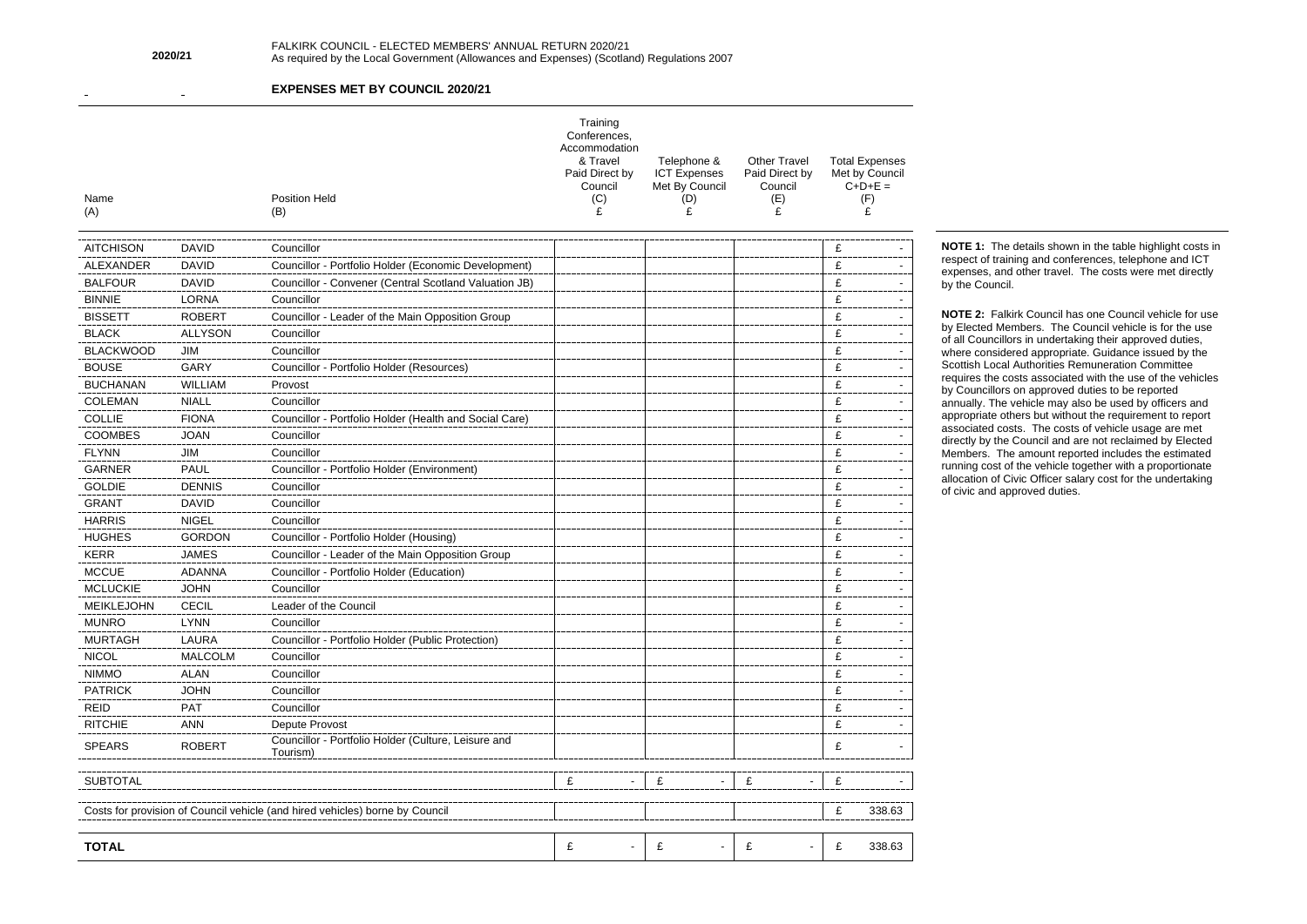**2020/21**

÷.

#### **EXPENSES MET BY COUNCIL 2020/21**

**NOTE 1:** The details shown in the table highlight costs in respect of training and conferences, telephone and ICT expenses, and other travel. The costs were met directly

by the Council.

**NOTE 2:** Falkirk Council has one Council vehicle for use by Elected Members. The Council vehicle is for the use of all Councillors in undertaking their approved duties, where considered appropriate. Guidance issued by the Scottish Local Authorities Remuneration Committee requires the costs associated with the use of the vehicles by Councillors on approved duties to be reported annually. The vehicle may also be used by officers and appropriate others but without the requirement to report associated costs. The costs of vehicle usage are met directly by the Council and are not reclaimed by Elected Members. The amount reported includes the estimated running cost of the vehicle together with a proportionate allocation of Civic Officer salary cost for the undertaking of civic and approved duties.

| Name<br>(A)                          |                            | <b>Position Held</b><br>(B)                                                  | Training<br>Conferences,<br>Accommodation<br>& Travel<br>Paid Direct by<br>Council<br>(C)<br>£ | Telephone &<br><b>ICT Expenses</b><br>Met By Council<br>(D)<br>£ | <b>Other Travel</b><br>Paid Direct by<br>Council<br>(E)<br>£ | <b>Total Expenses</b><br>Met by Council<br>$C+D+E =$<br>(F)<br>£ |
|--------------------------------------|----------------------------|------------------------------------------------------------------------------|------------------------------------------------------------------------------------------------|------------------------------------------------------------------|--------------------------------------------------------------|------------------------------------------------------------------|
| <b>AITCHISON</b>                     | <b>DAVID</b>               | Councillor                                                                   |                                                                                                |                                                                  |                                                              | £                                                                |
| <b>ALEXANDER</b>                     | <b>DAVID</b>               | Councillor - Portfolio Holder (Economic Development)                         |                                                                                                |                                                                  |                                                              | £                                                                |
| <b>BALFOUR</b>                       | <b>DAVID</b>               | Councillor - Convener (Central Scotland Valuation JB)                        |                                                                                                |                                                                  |                                                              | £                                                                |
| <b>BINNIE</b>                        | <b>LORNA</b>               | Councillor                                                                   |                                                                                                |                                                                  |                                                              | £                                                                |
| <b>BISSETT</b>                       | <b>ROBERT</b>              | Councillor - Leader of the Main Opposition Group                             |                                                                                                |                                                                  |                                                              | £                                                                |
| <b>BLACK</b>                         | <b>ALLYSON</b>             | Councillor                                                                   |                                                                                                |                                                                  |                                                              | £                                                                |
| <b>BLACKWOOD</b>                     | JIM                        | Councillor                                                                   |                                                                                                |                                                                  |                                                              | £                                                                |
| <b>BOUSE</b>                         | <b>GARY</b>                | Councillor - Portfolio Holder (Resources)                                    |                                                                                                |                                                                  |                                                              | £                                                                |
| <b>BUCHANAN</b>                      | <b>WILLIAM</b>             | Provost                                                                      |                                                                                                |                                                                  |                                                              | £                                                                |
| <b>COLEMAN</b>                       | <b>NIALL</b>               | Councillor                                                                   |                                                                                                |                                                                  |                                                              | £                                                                |
| <b>COLLIE</b>                        | <b>FIONA</b>               | Councillor - Portfolio Holder (Health and Social Care)                       |                                                                                                |                                                                  |                                                              | £                                                                |
| <b>COOMBES</b>                       | <b>JOAN</b>                | Councillor                                                                   |                                                                                                |                                                                  |                                                              | £                                                                |
| <b>FLYNN</b>                         | <b>JIM</b>                 | Councillor                                                                   |                                                                                                |                                                                  |                                                              | £                                                                |
| <b>GARNER</b>                        | <b>PAUL</b>                | Councillor - Portfolio Holder (Environment)                                  |                                                                                                |                                                                  |                                                              | £                                                                |
| <b>GOLDIE</b>                        | <b>DENNIS</b>              | Councillor                                                                   |                                                                                                |                                                                  |                                                              | £                                                                |
| <b>GRANT</b>                         | <b>DAVID</b>               | Councillor                                                                   |                                                                                                |                                                                  |                                                              | £                                                                |
| <b>HARRIS</b>                        | <b>NIGEL</b>               | Councillor                                                                   |                                                                                                |                                                                  |                                                              | £                                                                |
| <b>HUGHES</b>                        | <b>GORDON</b>              | Councillor - Portfolio Holder (Housing)                                      |                                                                                                |                                                                  |                                                              |                                                                  |
| <b>KERR</b>                          | <b>JAMES</b>               | Councillor - Leader of the Main Opposition Group                             |                                                                                                |                                                                  |                                                              | £                                                                |
|                                      |                            |                                                                              |                                                                                                |                                                                  |                                                              | £                                                                |
| <b>MCCUE</b>                         | <b>ADANNA</b>              | Councillor - Portfolio Holder (Education)                                    |                                                                                                |                                                                  |                                                              | £                                                                |
| <b>MCLUCKIE</b><br><b>MEIKLEJOHN</b> | <b>JOHN</b>                | Councillor                                                                   |                                                                                                |                                                                  |                                                              | £                                                                |
|                                      | <b>CECIL</b>               | Leader of the Council                                                        |                                                                                                |                                                                  |                                                              | £                                                                |
| <b>MUNRO</b><br><b>MURTAGH</b>       | <b>LYNN</b>                | Councillor<br>Councillor - Portfolio Holder (Public Protection)              |                                                                                                |                                                                  |                                                              | £                                                                |
|                                      | LAURA                      |                                                                              |                                                                                                |                                                                  |                                                              | £                                                                |
| <b>NICOL</b>                         | <b>MALCOLM</b>             | Councillor                                                                   |                                                                                                |                                                                  |                                                              | £                                                                |
| <b>NIMMO</b><br><b>PATRICK</b>       | <b>ALAN</b><br><b>JOHN</b> | Councillor<br>Councillor                                                     |                                                                                                |                                                                  |                                                              | £                                                                |
| <b>REID</b>                          | <b>PAT</b>                 | Councillor                                                                   |                                                                                                |                                                                  |                                                              | £<br>£                                                           |
|                                      | <b>ANN</b>                 |                                                                              |                                                                                                |                                                                  |                                                              |                                                                  |
| <b>RITCHIE</b>                       |                            | Depute Provost<br>Councillor - Portfolio Holder (Culture, Leisure and        |                                                                                                |                                                                  |                                                              | £                                                                |
| <b>SPEARS</b>                        | <b>ROBERT</b>              | Tourism)                                                                     |                                                                                                |                                                                  |                                                              | £                                                                |
| <b>SUBTOTAL</b>                      |                            |                                                                              | £<br>$\overline{\phantom{a}}$                                                                  | £<br>$\blacksquare$                                              | £                                                            | £                                                                |
|                                      |                            | Costs for provision of Council vehicle (and hired vehicles) borne by Council |                                                                                                |                                                                  |                                                              | £<br>338.63                                                      |
| <b>TOTAL</b>                         |                            |                                                                              | £                                                                                              | £<br>$\sim$                                                      | £                                                            | £<br>338.63                                                      |